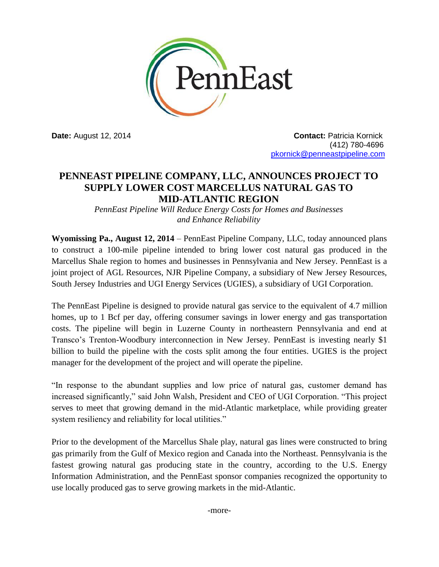

**Date:** August 12, 2014 **Contact:** Patricia Kornick (412) 780-4696 [pkornick@penneastpipeline.com](mailto:pkornick@penneastpipeline.com)

# **PENNEAST PIPELINE COMPANY, LLC, ANNOUNCES PROJECT TO SUPPLY LOWER COST MARCELLUS NATURAL GAS TO MID-ATLANTIC REGION**

*PennEast Pipeline Will Reduce Energy Costs for Homes and Businesses and Enhance Reliability*

**Wyomissing Pa., August 12, 2014** – PennEast Pipeline Company, LLC, today announced plans to construct a 100-mile pipeline intended to bring lower cost natural gas produced in the Marcellus Shale region to homes and businesses in Pennsylvania and New Jersey. PennEast is a joint project of AGL Resources, NJR Pipeline Company, a subsidiary of New Jersey Resources, South Jersey Industries and UGI Energy Services (UGIES), a subsidiary of UGI Corporation.

The PennEast Pipeline is designed to provide natural gas service to the equivalent of 4.7 million homes, up to 1 Bcf per day, offering consumer savings in lower energy and gas transportation costs. The pipeline will begin in Luzerne County in northeastern Pennsylvania and end at Transco's Trenton-Woodbury interconnection in New Jersey. PennEast is investing nearly \$1 billion to build the pipeline with the costs split among the four entities. UGIES is the project manager for the development of the project and will operate the pipeline.

"In response to the abundant supplies and low price of natural gas, customer demand has increased significantly," said John Walsh, President and CEO of UGI Corporation. "This project serves to meet that growing demand in the mid-Atlantic marketplace, while providing greater system resiliency and reliability for local utilities."

Prior to the development of the Marcellus Shale play, natural gas lines were constructed to bring gas primarily from the Gulf of Mexico region and Canada into the Northeast. Pennsylvania is the fastest growing natural gas producing state in the country, according to the U.S. Energy Information Administration, and the PennEast sponsor companies recognized the opportunity to use locally produced gas to serve growing markets in the mid-Atlantic.

-more-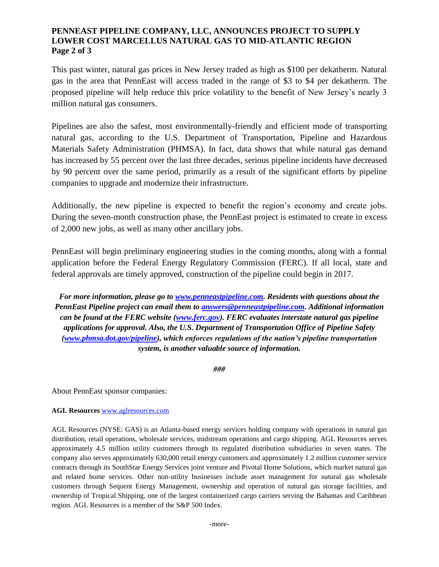## **PENNEAST PIPELINE COMPANY, LLC, ANNOUNCES PROJECT TO SUPPLY LOWER COST MARCELLUS NATURAL GAS TO MID-ATLANTIC REGION Page 2 of 3**

This past winter, natural gas prices in New Jersey traded as high as \$100 per dekatherm. Natural gas in the area that PennEast will access traded in the range of \$3 to \$4 per dekatherm. The proposed pipeline will help reduce this price volatility to the benefit of New Jersey's nearly 3 million natural gas consumers.

Pipelines are also the safest, most environmentally-friendly and efficient mode of transporting natural gas, according to the U.S. Department of Transportation, Pipeline and Hazardous Materials Safety Administration (PHMSA). In fact, data shows that while natural gas demand has increased by 55 percent over the last three decades, serious pipeline incidents have decreased by 90 percent over the same period, primarily as a result of the significant efforts by pipeline companies to upgrade and modernize their infrastructure.

Additionally, the new pipeline is expected to benefit the region's economy and create jobs. During the seven-month construction phase, the PennEast project is estimated to create in excess of 2,000 new jobs, as well as many other ancillary jobs.

PennEast will begin preliminary engineering studies in the coming months, along with a formal application before the Federal Energy Regulatory Commission (FERC). If all local, state and federal approvals are timely approved, construction of the pipeline could begin in 2017.

*For more information, please go to [www.penneastpipeline.com.](http://www.penneastpipeline.com/) Residents with questions about the PennEast Pipeline project can email them to [answers@penneastpipeline.com.](mailto:answers@penneastpipeline.com) Additional information can be found at the FERC website [\(www.ferc.gov\)](http://www.ferc.gov/). FERC evaluates interstate natural gas pipeline applications for approval. Also, the U.S. Department of Transportation Office of Pipeline Safety [\(www.phmsa.dot.gov/pipeline\)](http://www.phmsa.dot.gov/pipeline), which enforces regulations of the nation's pipeline transportation system, is another valuable source of information.*

*###*

About PennEast sponsor companies:

### **AGL Resources** [www.aglresources.com](http://www.aglresources.com/)

AGL Resources (NYSE: GAS) is an Atlanta-based energy services holding company with operations in natural gas distribution, retail operations, wholesale services, midstream operations and cargo shipping. AGL Resources serves approximately 4.5 million utility customers through its regulated distribution subsidiaries in seven states. The company also serves approximately 630,000 retail energy customers and approximately 1.2 million customer service contracts through its SouthStar Energy Services joint venture and Pivotal Home Solutions, which market natural gas and related home services. Other non-utility businesses include asset management for natural gas wholesale customers through Sequent Energy Management, ownership and operation of natural gas storage facilities, and ownership of Tropical Shipping, one of the largest containerized cargo carriers serving the Bahamas and Caribbean region. AGL Resources is a member of the S&P 500 Index.